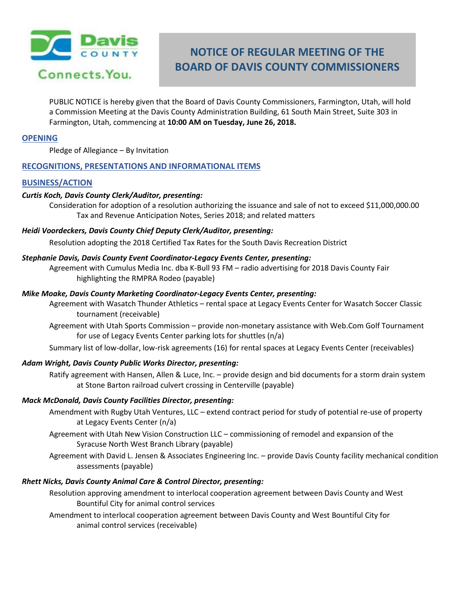

# **NOTICE OF REGULAR MEETING OF THE BOARD OF DAVIS COUNTY COMMISSIONERS**

PUBLIC NOTICE is hereby given that the Board of Davis County Commissioners, Farmington, Utah, will hold a Commission Meeting at the Davis County Administration Building, 61 South Main Street, Suite 303 in Farmington, Utah, commencing at **10:00 AM on Tuesday, June 26, 2018.**

# **OPENING**

Pledge of Allegiance – By Invitation

# **RECOGNITIONS, PRESENTATIONS AND INFORMATIONAL ITEMS**

# **BUSINESS/ACTION**

# *Curtis Koch, Davis County Clerk/Auditor, presenting:*

Consideration for adoption of a resolution authorizing the issuance and sale of not to exceed \$11,000,000.00 Tax and Revenue Anticipation Notes, Series 2018; and related matters

# *Heidi Voordeckers, Davis County Chief Deputy Clerk/Auditor, presenting:*

Resolution adopting the 2018 Certified Tax Rates for the South Davis Recreation District

# *Stephanie Davis, Davis County Event Coordinator-Legacy Events Center, presenting:*

Agreement with Cumulus Media Inc. dba K-Bull 93 FM – radio advertising for 2018 Davis County Fair highlighting the RMPRA Rodeo (payable)

# *Mike Moake, Davis County Marketing Coordinator-Legacy Events Center, presenting:*

Agreement with Wasatch Thunder Athletics – rental space at Legacy Events Center for Wasatch Soccer Classic tournament (receivable)

Agreement with Utah Sports Commission – provide non-monetary assistance with Web.Com Golf Tournament for use of Legacy Events Center parking lots for shuttles (n/a)

Summary list of low-dollar, low-risk agreements (16) for rental spaces at Legacy Events Center (receivables)

# *Adam Wright, Davis County Public Works Director, presenting:*

Ratify agreement with Hansen, Allen & Luce, Inc. – provide design and bid documents for a storm drain system at Stone Barton railroad culvert crossing in Centerville (payable)

# *Mack McDonald, Davis County Facilities Director, presenting:*

- Amendment with Rugby Utah Ventures, LLC extend contract period for study of potential re-use of property at Legacy Events Center (n/a)
- Agreement with Utah New Vision Construction LLC commissioning of remodel and expansion of the Syracuse North West Branch Library (payable)
- Agreement with David L. Jensen & Associates Engineering Inc. provide Davis County facility mechanical condition assessments (payable)

# *Rhett Nicks, Davis County Animal Care & Control Director, presenting:*

- Resolution approving amendment to interlocal cooperation agreement between Davis County and West Bountiful City for animal control services
- Amendment to interlocal cooperation agreement between Davis County and West Bountiful City for animal control services (receivable)